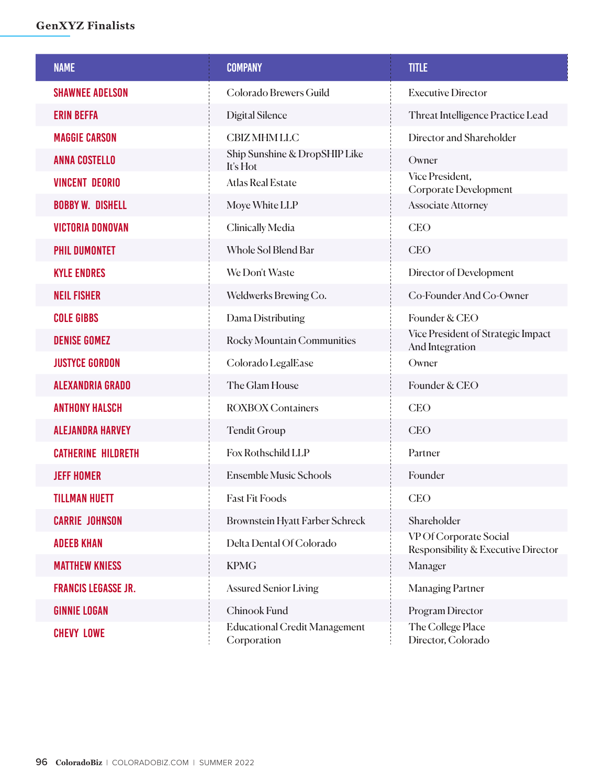## **GenXYZ Finalists**

| <b>NAME</b>                | <b>COMPANY</b>                                      | <b>TITLE</b>                                                  |
|----------------------------|-----------------------------------------------------|---------------------------------------------------------------|
| <b>SHAWNEE ADELSON</b>     | Colorado Brewers Guild                              | <b>Executive Director</b>                                     |
| <b>ERIN BEFFA</b>          | <b>Digital Silence</b>                              | Threat Intelligence Practice Lead                             |
| <b>MAGGIE CARSON</b>       | <b>CBIZ MHM LLC</b>                                 | Director and Shareholder                                      |
| <b>ANNA COSTELLO</b>       | Ship Sunshine & DropSHIP Like<br>It's Hot           | Owner                                                         |
| <b>VINCENT DEORIO</b>      | <b>Atlas Real Estate</b>                            | Vice President,<br>Corporate Development                      |
| <b>BOBBY W. DISHELL</b>    | Moye White LLP                                      | <b>Associate Attorney</b>                                     |
| <b>VICTORIA DONOVAN</b>    | Clinically Media                                    | <b>CEO</b>                                                    |
| <b>PHIL DUMONTET</b>       | Whole Sol Blend Bar                                 | <b>CEO</b>                                                    |
| <b>KYLE ENDRES</b>         | We Don't Waste                                      | Director of Development                                       |
| <b>NEIL FISHER</b>         | Weldwerks Brewing Co.                               | Co-Founder And Co-Owner                                       |
| <b>COLE GIBBS</b>          | Dama Distributing                                   | Founder & CEO                                                 |
| <b>DENISE GOMEZ</b>        | Rocky Mountain Communities                          | Vice President of Strategic Impact<br>And Integration         |
| <b>JUSTYCE GORDON</b>      | Colorado LegalEase                                  | Owner                                                         |
| <b>ALEXANDRIA GRADO</b>    | The Glam House                                      | Founder & CEO                                                 |
| <b>ANTHONY HALSCH</b>      | <b>ROXBOX Containers</b>                            | <b>CEO</b>                                                    |
| <b>ALEJANDRA HARVEY</b>    | <b>Tendit Group</b>                                 | <b>CEO</b>                                                    |
| <b>CATHERINE HILDRETH</b>  | Fox Rothschild LLP                                  | Partner                                                       |
| <b>JEFF HOMER</b>          | <b>Ensemble Music Schools</b>                       | Founder                                                       |
| <b>TILLMAN HUETT</b>       | <b>Fast Fit Foods</b>                               | <b>CEO</b>                                                    |
| <b>CARRIE JOHNSON</b>      | <b>Brownstein Hyatt Farber Schreck</b>              | Shareholder                                                   |
| <b>ADEEB KHAN</b>          | Delta Dental Of Colorado                            | VP Of Corporate Social<br>Responsibility & Executive Director |
| <b>MATTHEW KNIESS</b>      | <b>KPMG</b>                                         | Manager                                                       |
| <b>FRANCIS LEGASSE JR.</b> | <b>Assured Senior Living</b>                        | <b>Managing Partner</b>                                       |
| <b>GINNIE LOGAN</b>        | Chinook Fund                                        | Program Director                                              |
| <b>CHEVY LOWE</b>          | <b>Educational Credit Management</b><br>Corporation | The College Place<br>Director, Colorado                       |